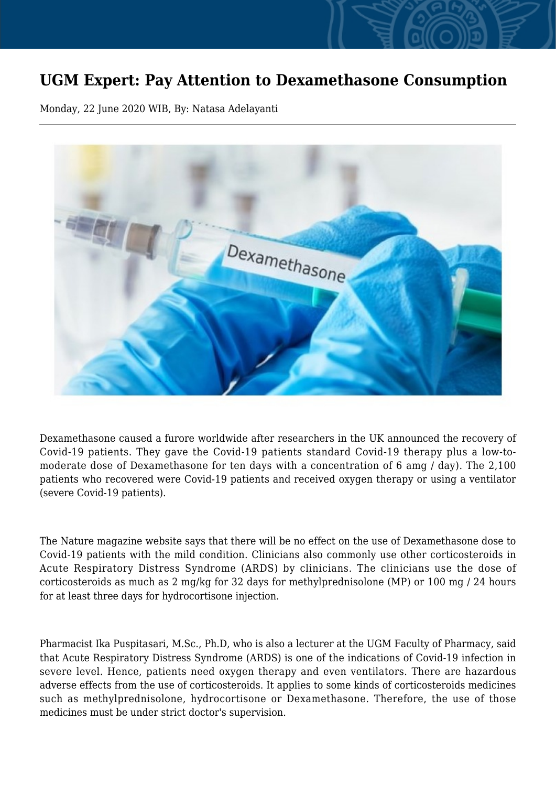## **UGM Expert: Pay Attention to Dexamethasone Consumption**

Monday, 22 June 2020 WIB, By: Natasa Adelayanti



Dexamethasone caused a furore worldwide after researchers in the UK announced the recovery of Covid-19 patients. They gave the Covid-19 patients standard Covid-19 therapy plus a low-tomoderate dose of Dexamethasone for ten days with a concentration of 6 amg / day). The 2,100 patients who recovered were Covid-19 patients and received oxygen therapy or using a ventilator (severe Covid-19 patients).

The Nature magazine website says that there will be no effect on the use of Dexamethasone dose to Covid-19 patients with the mild condition. Clinicians also commonly use other corticosteroids in Acute Respiratory Distress Syndrome (ARDS) by clinicians. The clinicians use the dose of corticosteroids as much as 2 mg/kg for 32 days for methylprednisolone (MP) or 100 mg / 24 hours for at least three days for hydrocortisone injection.

Pharmacist Ika Puspitasari, M.Sc., Ph.D, who is also a lecturer at the UGM Faculty of Pharmacy, said that Acute Respiratory Distress Syndrome (ARDS) is one of the indications of Covid-19 infection in severe level. Hence, patients need oxygen therapy and even ventilators. There are hazardous adverse effects from the use of corticosteroids. It applies to some kinds of corticosteroids medicines such as methylprednisolone, hydrocortisone or Dexamethasone. Therefore, the use of those medicines must be under strict doctor's supervision.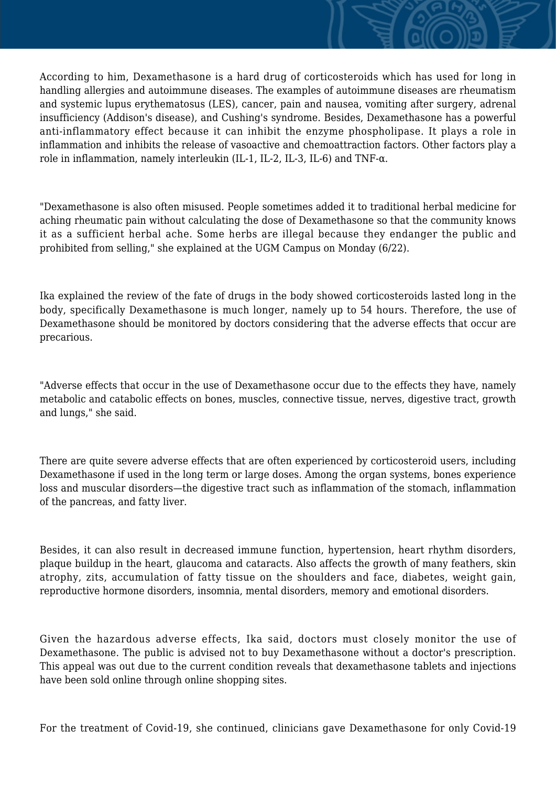According to him, Dexamethasone is a hard drug of corticosteroids which has used for long in handling allergies and autoimmune diseases. The examples of autoimmune diseases are rheumatism and systemic lupus erythematosus (LES), cancer, pain and nausea, vomiting after surgery, adrenal insufficiency (Addison's disease), and Cushing's syndrome. Besides, Dexamethasone has a powerful anti-inflammatory effect because it can inhibit the enzyme phospholipase. It plays a role in inflammation and inhibits the release of vasoactive and chemoattraction factors. Other factors play a role in inflammation, namely interleukin (IL-1, IL-2, IL-3, IL-6) and TNF-α.

"Dexamethasone is also often misused. People sometimes added it to traditional herbal medicine for aching rheumatic pain without calculating the dose of Dexamethasone so that the community knows it as a sufficient herbal ache. Some herbs are illegal because they endanger the public and prohibited from selling," she explained at the UGM Campus on Monday (6/22).

Ika explained the review of the fate of drugs in the body showed corticosteroids lasted long in the body, specifically Dexamethasone is much longer, namely up to 54 hours. Therefore, the use of Dexamethasone should be monitored by doctors considering that the adverse effects that occur are precarious.

"Adverse effects that occur in the use of Dexamethasone occur due to the effects they have, namely metabolic and catabolic effects on bones, muscles, connective tissue, nerves, digestive tract, growth and lungs," she said.

There are quite severe adverse effects that are often experienced by corticosteroid users, including Dexamethasone if used in the long term or large doses. Among the organ systems, bones experience loss and muscular disorders—the digestive tract such as inflammation of the stomach, inflammation of the pancreas, and fatty liver.

Besides, it can also result in decreased immune function, hypertension, heart rhythm disorders, plaque buildup in the heart, glaucoma and cataracts. Also affects the growth of many feathers, skin atrophy, zits, accumulation of fatty tissue on the shoulders and face, diabetes, weight gain, reproductive hormone disorders, insomnia, mental disorders, memory and emotional disorders.

Given the hazardous adverse effects, Ika said, doctors must closely monitor the use of Dexamethasone. The public is advised not to buy Dexamethasone without a doctor's prescription. This appeal was out due to the current condition reveals that dexamethasone tablets and injections have been sold online through online shopping sites.

For the treatment of Covid-19, she continued, clinicians gave Dexamethasone for only Covid-19